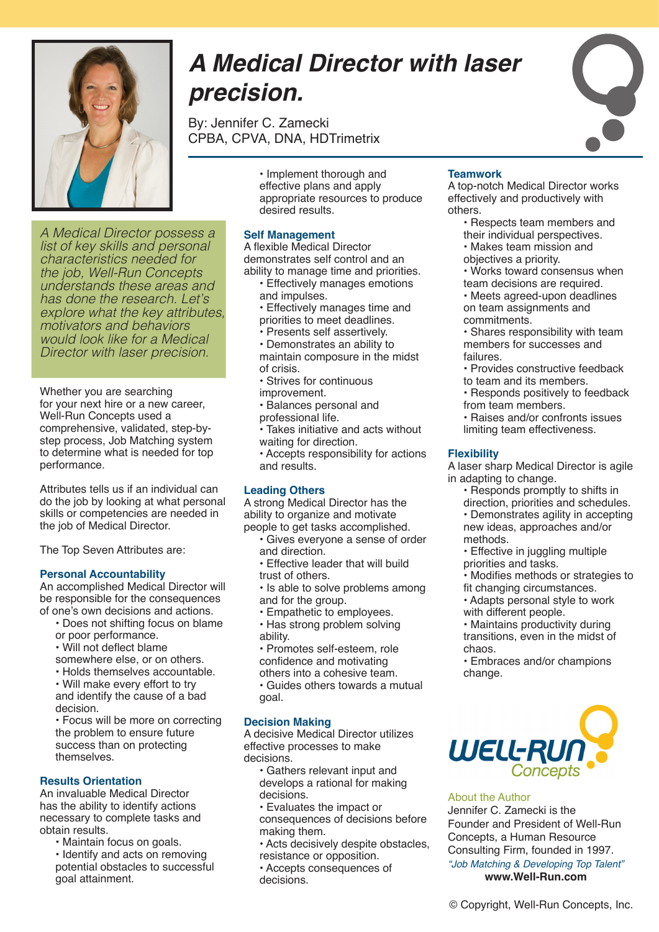

*A Medical Director possess a list of key skills and personal characteristics needed for the job, Well-Run Concepts understands these areas and has done the research. Let's explore what the key attributes, motivators and behaviors would look like for a Medical Director with laser precision.*

Whether you are searching for your next hire or a new career, Well-Run Concepts used a comprehensive, validated, step-bystep process, Job Matching system to determine what is needed for top performance.

Attributes tells us if an individual can do the job by looking at what personal skills or competencies are needed in the job of Medical Director.

The Top Seven Attributes are:

#### **Personal Accountability**

An accomplished Medical Director will be responsible for the consequences of one's own decisions and actions.

- Does not shifting focus on blame
- or poor performance.
- Will not deflect blame
- somewhere else, or on others.
- Holds themselves accountable.
- Will make every effort to try and identify the cause of a bad decision.

• Focus will be more on correcting the problem to ensure future success than on protecting themselves.

#### **Results Orientation**

An invaluable Medical Director has the ability to identify actions necessary to complete tasks and obtain results.

• Maintain focus on goals. • Identify and acts on removing potential obstacles to successful goal attainment.

# *A Medical Director with laser precision.*

By: Jennifer C. Zamecki CPBA, CPVA, DNA, HDTrimetrix

> • Implement thorough and effective plans and apply appropriate resources to produce desired results.

#### **Self Management**

A flexible Medical Director demonstrates self control and an ability to manage time and priorities.

- Effectively manages emotions and impulses.
- Effectively manages time and priorities to meet deadlines.
- Presents self assertively.

• Demonstrates an ability to maintain composure in the midst of crisis.

- Strives for continuous
- improvement.
- Balances personal and

professional life. • Takes initiative and acts without waiting for direction.

• Accepts responsibility for actions and results.

#### **Leading Others**

A strong Medical Director has the ability to organize and motivate people to get tasks accomplished.

- Gives everyone a sense of order and direction.
- Effective leader that will build trust of others.
- Is able to solve problems among and for the group.
- Empathetic to employees.
- Has strong problem solving ability.

• Promotes self-esteem, role confidence and motivating others into a cohesive team.

• Guides others towards a mutual goal.

#### **Decision Making**

A decisive Medical Director utilizes effective processes to make decisions.

• Gathers relevant input and develops a rational for making decisions.

• Evaluates the impact or consequences of decisions before making them.

• Acts decisively despite obstacles, resistance or opposition.

• Accepts consequences of decisions.

## **Teamwork**

A top-notch Medical Director works effectively and productively with others.

• Respects team members and their individual perspectives.

- Makes team mission and
- objectives a priority.

• Works toward consensus when team decisions are required. • Meets agreed-upon deadlines

on team assignments and commitments.

• Shares responsibility with team members for successes and failures.

• Provides constructive feedback

to team and its members.

• Responds positively to feedback from team members.

• Raises and/or confronts issues limiting team effectiveness.

## **Flexibility**

A laser sharp Medical Director is agile in adapting to change.

• Responds promptly to shifts in

direction, priorities and schedules. • Demonstrates agility in accepting new ideas, approaches and/or

methods. • Effective in juggling multiple

priorities and tasks.

• Modifies methods or strategies to fit changing circumstances.

• Adapts personal style to work with different people.

• Maintains productivity during transitions, even in the midst of chaos.

• Embraces and/or champions change.



About the Author

Jennifer C. Zamecki is the Founder and President of Well-Run Concepts, a Human Resource Consulting Firm, founded in 1997. *"Job Matching & Developing Top Talent"* **www.Well-Run.com**